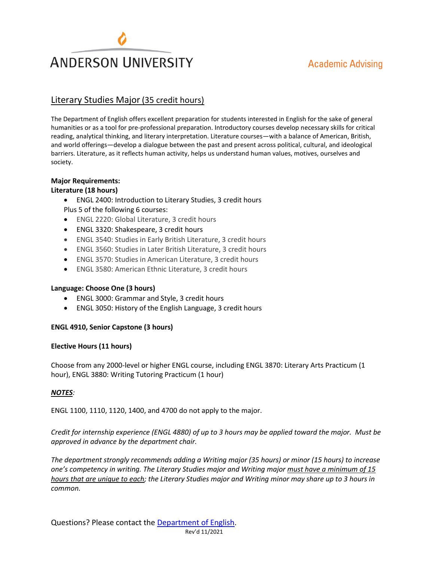# **ANDERSON UNIVERSITY**

## **Academic Advising**

### Literary Studies Major (35 credit hours)

The Department of English offers excellent preparation for students interested in English for the sake of general humanities or as a tool for pre-professional preparation. Introductory courses develop necessary skills for critical reading, analytical thinking, and literary interpretation. Literature courses—with a balance of American, British, and world offerings—develop a dialogue between the past and present across political, cultural, and ideological barriers. Literature, as it reflects human activity, helps us understand human values, motives, ourselves and society.

#### **Major Requirements:**

#### **Literature (18 hours)**

- ENGL 2400: Introduction to Literary Studies, 3 credit hours Plus 5 of the following 6 courses:
- ENGL 2220: Global Literature, 3 credit hours
- ENGL 3320: Shakespeare, 3 credit hours
- ENGL 3540: Studies in Early British Literature, 3 credit hours
- ENGL 3560: Studies in Later British Literature, 3 credit hours
- ENGL 3570: Studies in American Literature, 3 credit hours
- ENGL 3580: American Ethnic Literature, 3 credit hours

#### **Language: Choose One (3 hours)**

- ENGL 3000: Grammar and Style, 3 credit hours
- ENGL 3050: History of the English Language, 3 credit hours

#### **ENGL 4910, Senior Capstone (3 hours)**

#### **Elective Hours (11 hours)**

Choose from any 2000-level or higher ENGL course, including ENGL 3870: Literary Arts Practicum (1 hour), ENGL 3880: Writing Tutoring Practicum (1 hour)

#### *NOTES:*

ENGL 1100, 1110, 1120, 1400, and 4700 do not apply to the major.

*Credit for internship experience (ENGL 4880) of up to 3 hours may be applied toward the major. Must be approved in advance by the department chair.* 

*The department strongly recommends adding a Writing major (35 hours) or minor (15 hours) to increase one's competency in writing. The Literary Studies major and Writing major must have a minimum of 15 hours that are unique to each; the Literary Studies major and Writing minor may share up to 3 hours in common.*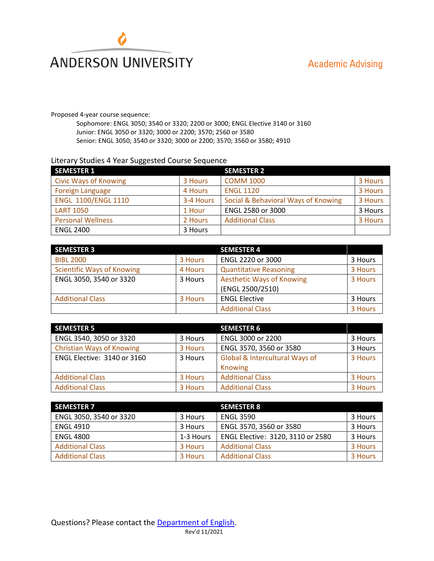

Proposed 4-year course sequence:

Sophomore: ENGL 3050; 3540 or 3320; 2200 or 3000; ENGL Elective 3140 or 3160 Junior: ENGL 3050 or 3320; 3000 or 2200; 3570; 2560 or 3580 Senior: ENGL 3050; 3540 or 3320; 3000 or 2200; 3570; 3560 or 3580; 4910

#### Literary Studies 4 Year Suggested Course Sequence

| <b>SEMESTER 1</b>            |           | <b>SEMESTER 2</b>                   |         |
|------------------------------|-----------|-------------------------------------|---------|
| <b>Civic Ways of Knowing</b> | 3 Hours   | <b>COMM 1000</b>                    | 3 Hours |
| <b>Foreign Language</b>      | 4 Hours   | <b>ENGL 1120</b>                    | 3 Hours |
| <b>ENGL 1100/ENGL 1110</b>   | 3-4 Hours | Social & Behavioral Ways of Knowing | 3 Hours |
| <b>LART 1050</b>             | 1 Hour    | ENGL 2580 or 3000                   | 3 Hours |
| <b>Personal Wellness</b>     | 2 Hours   | <b>Additional Class</b>             | 3 Hours |
| <b>ENGL 2400</b>             | 3 Hours   |                                     |         |

| <b>SEMESTER 3</b>                 |         | <b>SEMESTER 4</b>                |         |
|-----------------------------------|---------|----------------------------------|---------|
| <b>BIBL 2000</b>                  | 3 Hours | ENGL 2220 or 3000                | 3 Hours |
| <b>Scientific Ways of Knowing</b> | 4 Hours | <b>Quantitative Reasoning</b>    | 3 Hours |
| ENGL 3050, 3540 or 3320           | 3 Hours | <b>Aesthetic Ways of Knowing</b> | 3 Hours |
|                                   |         | (ENGL 2500/2510)                 |         |
| <b>Additional Class</b>           | 3 Hours | <b>ENGL Elective</b>             | 3 Hours |
|                                   |         | <b>Additional Class</b>          | 3 Hours |

| <b>SEMESTER 5</b>                |         | <b>SEMESTER 6</b>              |         |
|----------------------------------|---------|--------------------------------|---------|
| ENGL 3540, 3050 or 3320          | 3 Hours | ENGL 3000 or 2200              | 3 Hours |
| <b>Christian Ways of Knowing</b> | 3 Hours | ENGL 3570, 3560 or 3580        | 3 Hours |
| ENGL Elective: 3140 or 3160      | 3 Hours | Global & Intercultural Ways of | 3 Hours |
|                                  |         | Knowing                        |         |
| <b>Additional Class</b>          | 3 Hours | <b>Additional Class</b>        | 3 Hours |
| <b>Additional Class</b>          | 3 Hours | <b>Additional Class</b>        | 3 Hours |

| <b>SEMESTER 7</b>       |           | <b>SEMESTER 8</b>                 |         |
|-------------------------|-----------|-----------------------------------|---------|
| ENGL 3050, 3540 or 3320 | 3 Hours   | <b>ENGL 3590</b>                  | 3 Hours |
| <b>ENGL 4910</b>        | 3 Hours   | ENGL 3570, 3560 or 3580           | 3 Hours |
| <b>ENGL 4800</b>        | 1-3 Hours | ENGL Elective: 3120, 3110 or 2580 | 3 Hours |
| <b>Additional Class</b> | 3 Hours   | <b>Additional Class</b>           | 3 Hours |
| <b>Additional Class</b> | 3 Hours   | <b>Additional Class</b>           | 3 Hours |